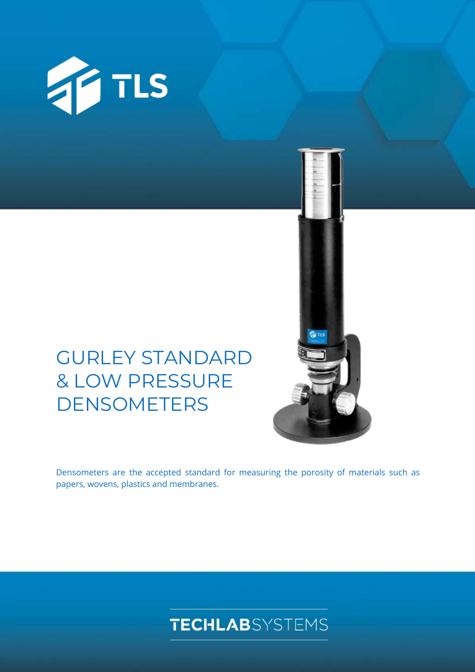

# GURLEY STANDARD & LOW PRESSURE DENSOMETERS

Densometers are the accepted standard for measuring the porosity of materials such as papers, wovens, plastics and membranes.

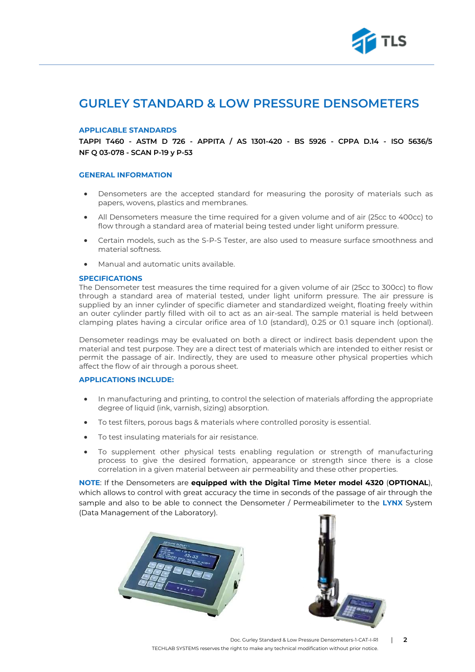

## **GURLEY STANDARD & LOW PRESSURE DENSOMETERS**

#### **APPLICABLE STANDARDS**

**TAPPI T460 - ASTM D 726 - APPITA / AS 1301-420 - BS 5926 - CPPA D.14 - ISO 5636/5 NF Q 03-078 - SCAN P-19 y P-53**

#### **GENERAL INFORMATION**

- Densometers are the accepted standard for measuring the porosity of materials such as papers, wovens, plastics and membranes.
- All Densometers measure the time required for a given volume and of air (25cc to 400cc) to flow through a standard area of material being tested under light uniform pressure.
- Certain models, such as the S-P-S Tester, are also used to measure surface smoothness and material softness.
- Manual and automatic units available.

#### **SPECIFICATIONS**

The Densometer test measures the time required for a given volume of air (25cc to 300cc) to flow through a standard area of material tested, under light uniform pressure. The air pressure is supplied by an inner cylinder of specific diameter and standardized weight, floating freely within an outer cylinder partly filled with oil to act as an air-seal. The sample material is held between clamping plates having a circular orifice area of 1.0 (standard), 0.25 or 0.1 square inch (optional).

Densometer readings may be evaluated on both a direct or indirect basis dependent upon the material and test purpose. They are a direct test of materials which are intended to either resist or permit the passage of air. Indirectly, they are used to measure other physical properties which affect the flow of air through a porous sheet.

### **APPLICATIONS INCLUDE:**

- In manufacturing and printing, to control the selection of materials affording the appropriate degree of liquid (ink, varnish, sizing) absorption.
- To test filters, porous bags & materials where controlled porosity is essential.
- To test insulating materials for air resistance.
- To supplement other physical tests enabling regulation or strength of manufacturing process to give the desired formation, appearance or strength since there is a close correlation in a given material between air permeability and these other properties.

**NOTE**: If the Densometers are **equipped with the Digital Time Meter model 4320** (**OPTIONAL**), which allows to control with great accuracy the time in seconds of the passage of air through the sample and also to be able to connect the Densometer / Permeabilimeter to the **LYNX** System (Data Management of the Laboratory).





Doc. Gurley Standard & Low Pressure Densometers-1-CAT-I-R1 | **2** TECHLAB SYSTEMS reserves the right to make any technical modification without prior notice.